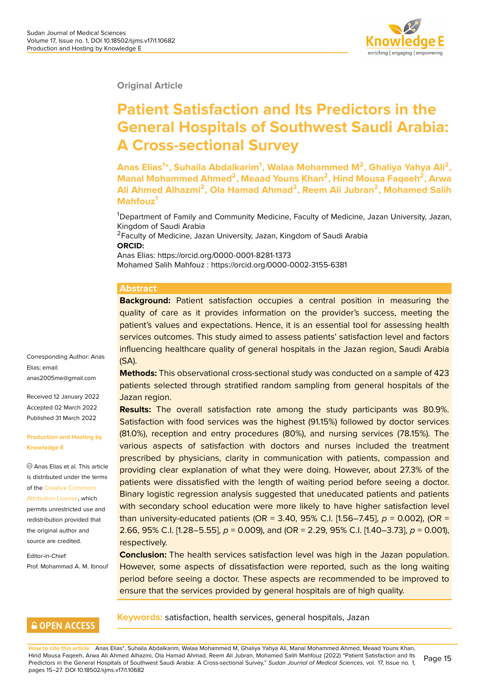**Original Article**

# **Patient Satisfaction and Its Predictors in the General Hospitals of Southwest Saudi Arabia: A Cross-sectional Survey**

**Anas Elias<sup>1</sup> \*, Suhaila Abdalkarim<sup>1</sup> , Walaa Mohammed M<sup>2</sup> , Ghaliya Yahya Ali<sup>2</sup> , Manal Mohammed Ahmed<sup>2</sup> , Meaad Youns Khan<sup>2</sup> , Hind Mousa Faqeeh<sup>2</sup> , Arwa Ali Ahmed Alhazmi<sup>2</sup> , Ola Hamad Ahmad<sup>2</sup> , Reem Ali Jubran<sup>2</sup> , Mohamed Salih Mahfouz<sup>1</sup>**

<sup>1</sup>Department of Family and Community Medicine, Faculty of Medicine, Jazan University, Jazan, Kingdom of Saudi Arabia

<sup>2</sup> Faculty of Medicine, Jazan University, Jazan, Kingdom of Saudi Arabia **ORCID:**

Anas Elias: https://orcid.org/0000-0001-8281-1373 Mohamed Salih Mahfouz : https://orcid.org/0000-0002-3155-6381

#### **Abstract**

**Background:** Patient satisfaction occupies a central position in measuring the quality of care as it provides information on the provider's success, meeting the patient's values and expectations. Hence, it is an essential tool for assessing health services outcomes. This study aimed to assess patients' satisfaction level and factors influencing healthcare quality of general hospitals in the Jazan region, Saudi Arabia (SA).

**Methods:** This observational cross-sectional study was conducted on a sample of 423 patients selected through stratified random sampling from general hospitals of the Jazan region.

**Results:** The overall satisfaction rate among the study participants was 80.9%. Satisfaction with food services was the highest (91.15%) followed by doctor services (81.0%), reception and entry procedures (80%), and nursing services (78.15%). The various aspects of satisfaction with doctors and nurses included the treatment prescribed by physicians, clarity in communication with patients, compassion and providing clear explanation of what they were doing. However, about 27.3% of the patients were dissatisfied with the length of waiting period before seeing a doctor. Binary logistic regression analysis suggested that uneducated patients and patients with secondary school education were more likely to have higher satisfaction level than university-educated patients (OR = 3.40, 95% C.I. [1.56–7.45],  $p = 0.002$ ), (OR = 2.66, 95% C.I. [1.28–5.55], *p* = 0.009), and (OR = 2.29, 95% C.I. [1.40–3.73], *p* = 0.001), respectively.

**Conclusion:** The health services satisfaction level was high in the Jazan population. However, some aspects of dissatisfaction were reported, such as the long waiting period before seeing a doctor. These aspects are recommended to be improved to ensure that the services provided by general hospitals are of high quality.

#### Corresponding Author: Anas Elias; email: anas2005me@gmail.com

Received 12 January 2022 Accepted 02 March 2022 [Published 31 March 2022](mailto:anas2005me@gmail.com)

#### **Production and Hosting by Knowledge E**

Anas Elias et al. This article is distributed under the terms of the Creative Commons Attribution License, which permits unrestricted use and redistribution provided that the ori[ginal author and](https://creativecommons.org/licenses/by/4.0/) [source are credited](https://creativecommons.org/licenses/by/4.0/).

Editor-in-Chief: Prof. Mohammad A. M. Ibnouf

#### **GOPEN ACCESS**

**Keywords:** satisfaction, health services, general hospitals, Jazan

**How to cite this article**: Anas Elias\*, Suhaila Abdalkarim, Walaa Mohammed M, Ghaliya Yahya Ali, Manal Mohammed Ahmed, Meaad Youns Khan, Hind Mousa Faqeeh, Arwa Ali Ahmed Alhazmi, Ola Hamad Ahmad, Reem Ali Jubran, Mohamed Salih Mahfouz (2022) "Patient Satisfaction and Its Predictors in the General Hospitals of Southwest Saudi Arabia: A Cross-sectional Survey," *Sudan Journal of Medical Sciences*, vol. 17, Issue no. 1, pages 15–27. DOI 10.18502/sjms.v17i1.10682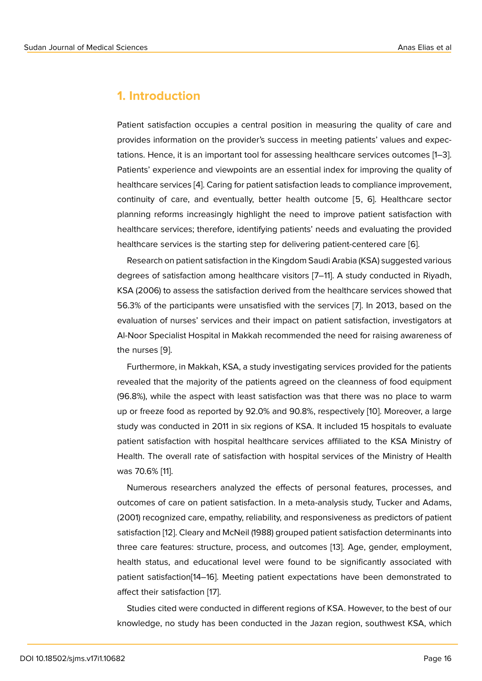### **1. Introduction**

Patient satisfaction occupies a central position in measuring the quality of care and provides information on the provider's success in meeting patients' values and expectations. Hence, it is an important tool for assessing healthcare services outcomes [1–3]. Patients' experience and viewpoints are an essential index for improving the quality of healthcare services [4]. Caring for patient satisfaction leads to compliance improvement, continuity of care, and eventually, better health outcome [5, 6]. Healthcare sector planning reforms increasingly highlight the need to improve patient satisfaction with healthcare services; [th](#page-9-0)erefore, identifying patients' needs and evaluating the provided healthcare services is the starting step for delivering patient-centered care [6].

Research on patient satisfaction in the Kingdom Saudi Arabia (KSA) suggested various degrees of satisfaction among healthcare visitors [7–11]. A study conducted in Riyadh, KSA (2006) to assess the satisfaction derived from the healthcare services s[ho](#page-9-1)wed that 56.3% of the participants were unsatisfied with the services [7]. In 2013, based on the evaluation of nurses' services and their impact on patient satisfaction, investigators at Al-Noor Specialist Hospital in Makkah recommended the need for raising awareness of the nurses [9].

Furthermore, in Makkah, KSA, a study investigating services provided for the patients revealed that the majority of the patients agreed on the cleanness of food equipment (96.8%), wh[ile](#page-10-0) the aspect with least satisfaction was that there was no place to warm up or freeze food as reported by 92.0% and 90.8%, respectively [10]. Moreover, a large study was conducted in 2011 in six regions of KSA. It included 15 hospitals to evaluate patient satisfaction with hospital healthcare services affiliated to the KSA Ministry of Health. The overall rate of satisfaction with hospital services of [the](#page-10-1) Ministry of Health was 70.6% [11].

Numerous researchers analyzed the effects of personal features, processes, and outcomes of care on patient satisfaction. In a meta-analysis study, Tucker and Adams, (2001) reco[gn](#page-10-2)ized care, empathy, reliability, and responsiveness as predictors of patient satisfaction [12]. Cleary and McNeil (1988) grouped patient satisfaction determinants into three care features: structure, process, and outcomes [13]. Age, gender, employment, health status, and educational level were found to be significantly associated with patient satis[fac](#page-10-3)tion[14–16]. Meeting patient expectations have been demonstrated to affect their satisfaction [17].

Studies cited were conducted in different regions of KSA. However, to the best of our knowledge, no stu[dy](#page-10-4) [has](#page-10-5) been conducted in the Jazan region, southwest KSA, which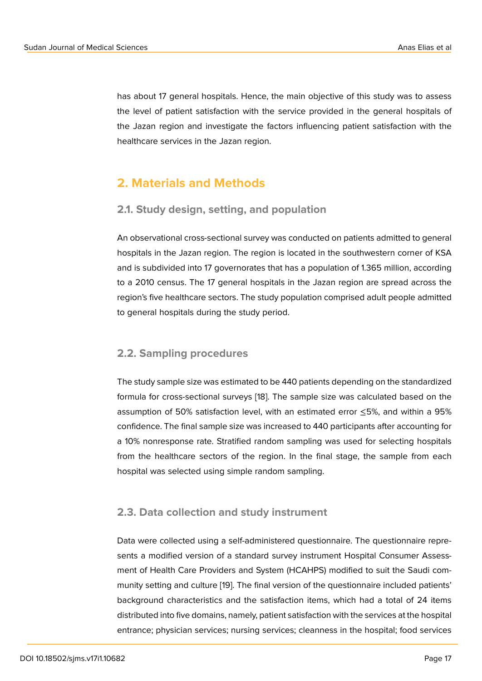has about 17 general hospitals. Hence, the main objective of this study was to assess the level of patient satisfaction with the service provided in the general hospitals of the Jazan region and investigate the factors influencing patient satisfaction with the healthcare services in the Jazan region.

### **2. Materials and Methods**

#### **2.1. Study design, setting, and population**

An observational cross-sectional survey was conducted on patients admitted to general hospitals in the Jazan region. The region is located in the southwestern corner of KSA and is subdivided into 17 governorates that has a population of 1.365 million, according to a 2010 census. The 17 general hospitals in the Jazan region are spread across the region's five healthcare sectors. The study population comprised adult people admitted to general hospitals during the study period.

#### **2.2. Sampling procedures**

The study sample size was estimated to be 440 patients depending on the standardized formula for cross-sectional surveys [18]. The sample size was calculated based on the assumption of 50% satisfaction level, with an estimated error ≤5%, and within a 95% confidence. The final sample size was increased to 440 participants after accounting for a 10% nonresponse rate. Stratified r[an](#page-10-7)dom sampling was used for selecting hospitals from the healthcare sectors of the region. In the final stage, the sample from each hospital was selected using simple random sampling.

#### **2.3. Data collection and study instrument**

Data were collected using a self-administered questionnaire. The questionnaire represents a modified version of a standard survey instrument Hospital Consumer Assessment of Health Care Providers and System (HCAHPS) modified to suit the Saudi community setting and culture [19]. The final version of the questionnaire included patients' background characteristics and the satisfaction items, which had a total of 24 items distributed into five domains, namely, patient satisfaction with the services at the hospital entrance; physician service[s;](#page-11-0) nursing services; cleanness in the hospital; food services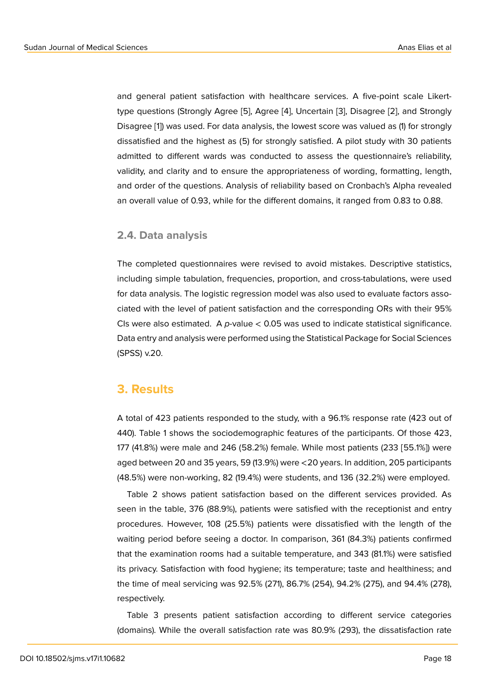and general patient satisfaction with healthcare services. A five-point scale Likerttype questions (Strongly Agree [5], Agree [4], Uncertain [3], Disagree [2], and Strongly Disagree [1]) was used. For data analysis, the lowest score was valued as (1) for strongly dissatisfied and the highest as (5) for strongly satisfied. A pilot study with 30 patients admitted to different wards wa[s](#page-9-2) conduct[ed](#page-9-0) to assess [th](#page-9-3)e question[na](#page-9-4)ire's reliability, validity, a[nd](#page-9-5) clarity and to ensure the appropriateness of wording, formatting, length, and order of the questions. Analysis of reliability based on Cronbach's Alpha revealed an overall value of 0.93, while for the different domains, it ranged from 0.83 to 0.88.

#### **2.4. Data analysis**

The completed questionnaires were revised to avoid mistakes. Descriptive statistics, including simple tabulation, frequencies, proportion, and cross-tabulations, were used for data analysis. The logistic regression model was also used to evaluate factors associated with the level of patient satisfaction and the corresponding ORs with their 95% CIs were also estimated. A *p-*value < 0.05 was used to indicate statistical significance. Data entry and analysis were performed using the Statistical Package for Social Sciences (SPSS) v.20.

#### **3. Results**

A total of 423 patients responded to the study, with a 96.1% response rate (423 out of 440). Table 1 shows the sociodemographic features of the participants. Of those 423, 177 (41.8%) were male and 246 (58.2%) female. While most patients (233 [55.1%]) were aged between 20 and 35 years, 59 (13.9%) were <20 years. In addition, 205 participants (48.5%) were non-working, 82 (19.4%) were students, and 136 (32.2%) were employed.

Table 2 shows patient satisfaction based on the different services provided. As seen in the table, 376 (88.9%), patients were satisfied with the receptionist and entry procedures. However, 108 (25.5%) patients were dissatisfied with the length of the waiting period before seeing a doctor. In comparison, 361 (84.3%) patients confirmed that the examination rooms had a suitable temperature, and 343 (81.1%) were satisfied its privacy. Satisfaction with food hygiene; its temperature; taste and healthiness; and the time of meal servicing was 92.5% (271), 86.7% (254), 94.2% (275), and 94.4% (278), respectively.

Table 3 presents patient satisfaction according to different service categories (domains). While the overall satisfaction rate was 80.9% (293), the dissatisfaction rate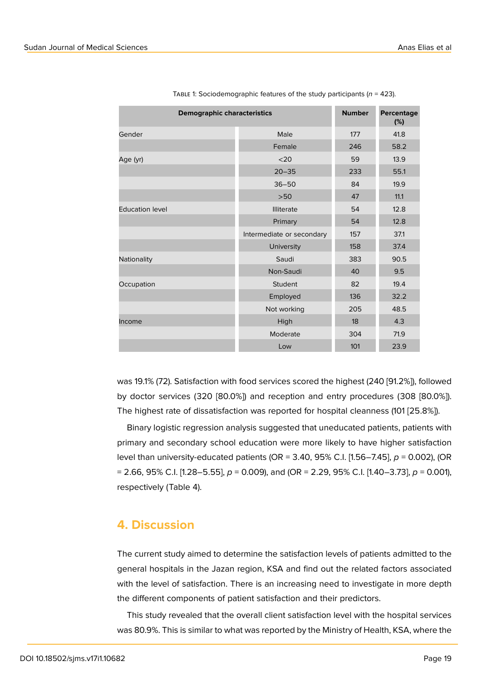| <b>Demographic characteristics</b> | <b>Number</b>             | Percentage<br>(%) |      |
|------------------------------------|---------------------------|-------------------|------|
| Gender                             | Male                      | 177               | 41.8 |
|                                    | Female                    | 246               | 58.2 |
| Age (yr)                           | $20$                      | 59                | 13.9 |
|                                    | $20 - 35$                 | 233               | 55.1 |
|                                    | $36 - 50$                 | 84                | 19.9 |
|                                    | $>50$                     | 47                | 11.1 |
| <b>Education level</b>             | <b>Illiterate</b>         | 54                | 12.8 |
|                                    | Primary                   | 54                | 12.8 |
|                                    | Intermediate or secondary | 157               | 37.1 |
|                                    | University                | 158               | 37.4 |
| Nationality                        | Saudi                     | 383               | 90.5 |
|                                    | Non-Saudi                 | 40                | 9.5  |
| Occupation                         | Student                   | 82                | 19.4 |
|                                    | Employed                  | 136               | 32.2 |
|                                    | Not working               | 205               | 48.5 |
| Income                             | High                      | 18                | 4.3  |
|                                    | Moderate                  | 304               | 71.9 |
|                                    | Low                       | 101               | 23.9 |

Table 1: Sociodemographic features of the study participants (*n* = 423).

was 19.1% (72). Satisfaction with food services scored the highest (240 [91.2%]), followed by doctor services (320 [80.0%]) and reception and entry procedures (308 [80.0%]). The highest rate of dissatisfaction was reported for hospital cleanness (101 [25.8%]).

Binary logistic regression analysis suggested that uneducated patients, patients with primary and secondary school education were more likely to have higher satisfaction level than university-educated patients (OR = 3.40, 95% C.I. [1.56–7.45], *p* = 0.002), (OR = 2.66, 95% C.I. [1.28–5.55], *p* = 0.009), and (OR = 2.29, 95% C.I. [1.40–3.73], *p* = 0.001), respectively (Table 4).

### **4. Discussion**

The current study aimed to determine the satisfaction levels of patients admitted to the general hospitals in the Jazan region, KSA and find out the related factors associated with the level of satisfaction. There is an increasing need to investigate in more depth the different components of patient satisfaction and their predictors.

This study revealed that the overall client satisfaction level with the hospital services was 80.9%. This is similar to what was reported by the Ministry of Health, KSA, where the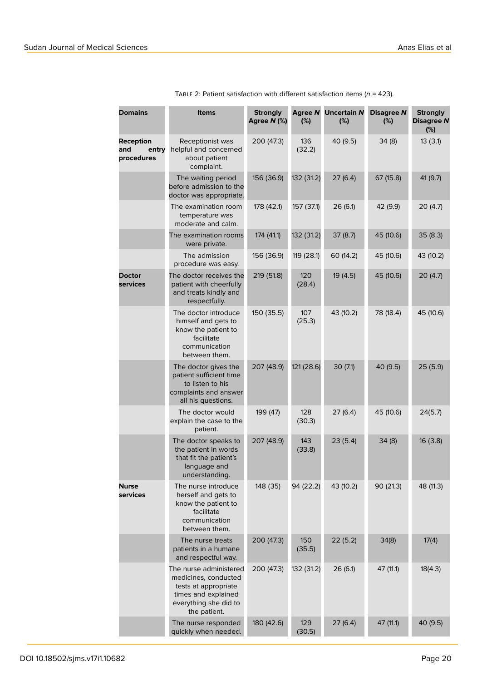| <b>Domains</b>                                 | <b>Items</b>                                                                                                                           | <b>Strongly</b><br>Agree N (%) | <b>Agree N</b><br>(%) | <b>Uncertain N</b><br>(%) | Disagree N<br>(%) | <b>Strongly</b><br><b>Disagree N</b><br>(%) |
|------------------------------------------------|----------------------------------------------------------------------------------------------------------------------------------------|--------------------------------|-----------------------|---------------------------|-------------------|---------------------------------------------|
| <b>Reception</b><br>and<br>entry<br>procedures | Receptionist was<br>helpful and concerned<br>about patient<br>complaint.                                                               | 200 (47.3)                     | 136<br>(32.2)         | 40 (9.5)                  | 34(8)             | 13(3.1)                                     |
|                                                | The waiting period<br>before admission to the<br>doctor was appropriate.                                                               | 156 (36.9)                     | 132 (31.2)            | 27(6.4)                   | 67 (15.8)         | 41 (9.7)                                    |
|                                                | The examination room<br>temperature was<br>moderate and calm.                                                                          | 178 (42.1)                     | 157 (37.1)            | 26(6.1)                   | 42 (9.9)          | 20 (4.7)                                    |
|                                                | The examination rooms<br>were private.                                                                                                 | 174 (41.1)                     | 132 (31.2)            | 37(8.7)                   | 45 (10.6)         | 35 (8.3)                                    |
|                                                | The admission<br>procedure was easy.                                                                                                   | 156 (36.9)                     | 119 (28.1)            | 60 (14.2)                 | 45 (10.6)         | 43 (10.2)                                   |
| <b>Doctor</b><br>services                      | The doctor receives the<br>patient with cheerfully<br>and treats kindly and<br>respectfully.                                           | 219 (51.8)                     | 120<br>(28.4)         | 19 (4.5)                  | 45 (10.6)         | 20 (4.7)                                    |
|                                                | The doctor introduce<br>himself and gets to<br>know the patient to<br>facilitate<br>communication<br>between them.                     | 150 (35.5)                     | 107<br>(25.3)         | 43 (10.2)                 | 78 (18.4)         | 45 (10.6)                                   |
|                                                | The doctor gives the<br>patient sufficient time<br>to listen to his<br>complaints and answer<br>all his questions.                     | 207 (48.9)                     | 121 (28.6)            | 30(7.1)                   | 40 (9.5)          | 25(5.9)                                     |
|                                                | The doctor would<br>explain the case to the<br>patient.                                                                                | 199 (47)                       | 128<br>(30.3)         | 27(6.4)                   | 45 (10.6)         | 24(5.7)                                     |
|                                                | The doctor speaks to<br>the patient in words<br>that fit the patient's<br>language and<br>understanding.                               | 207 (48.9)                     | 143<br>(33.8)         | 23(5.4)                   | 34(8)             | 16 (3.8)                                    |
| <b>Nurse</b><br>services                       | The nurse introduce<br>herself and gets to<br>know the patient to<br>facilitate<br>communication<br>between them.                      | 148 (35)                       | 94 (22.2)             | 43 (10.2)                 | 90 (21.3)         | 48 (11.3)                                   |
|                                                | The nurse treats<br>patients in a humane<br>and respectful way.                                                                        | 200 (47.3)                     | 150<br>(35.5)         | 22(5.2)                   | 34(8)             | 17(4)                                       |
|                                                | The nurse administered<br>medicines, conducted<br>tests at appropriate<br>times and explained<br>everything she did to<br>the patient. | 200 (47.3)                     | 132 (31.2)            | 26(6.1)                   | 47 (11.1)         | 18(4.3)                                     |
|                                                | The nurse responded<br>quickly when needed.                                                                                            | 180 (42.6)                     | 129<br>(30.5)         | 27(6.4)                   | 47 (11.1)         | 40 (9.5)                                    |

Table 2: Patient satisfaction with different satisfaction items (*n* = 423).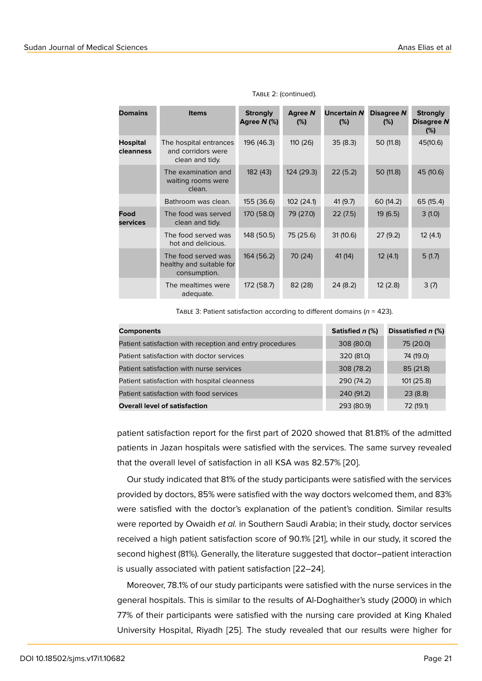| <b>Domains</b>        | <b>Items</b>                                                    | <b>Strongly</b><br>Agree N (%) | <b>Agree N</b><br>(%) | <b>Uncertain N</b><br>(%) | Disagree N<br>(%) | <b>Strongly</b><br>Disagree N<br>(%) |
|-----------------------|-----------------------------------------------------------------|--------------------------------|-----------------------|---------------------------|-------------------|--------------------------------------|
| Hospital<br>cleanness | The hospital entrances<br>and corridors were<br>clean and tidy. | 196 (46.3)                     | 110 (26)              | 35(8.3)                   | 50 (11.8)         | 45(10.6)                             |
|                       | The examination and<br>waiting rooms were<br>clean.             | 182 (43)                       | 124 (29.3)            | 22(5.2)                   | 50 (11.8)         | 45 (10.6)                            |
|                       | Bathroom was clean.                                             | 155 (36.6)                     | 102(24.1)             | 41(9.7)                   | 60 (14.2)         | 65 (15.4)                            |
| Food<br>services      | The food was served<br>clean and tidy.                          | 170 (58.0)                     | 79 (27.0)             | 22(7.5)                   | 19(6.5)           | 3(1.0)                               |
|                       | The food served was<br>hot and delicious.                       | 148 (50.5)                     | 75 (25.6)             | 31(10.6)                  | 27(9.2)           | 12(4.1)                              |
|                       | The food served was<br>healthy and suitable for<br>consumption. | 164 (56.2)                     | 70 (24)               | 41 (14)                   | 12(4.1)           | 5(1.7)                               |
|                       | The mealtimes were<br>adequate.                                 | 172 (58.7)                     | 82 (28)               | 24(8.2)                   | 12(2.8)           | 3(7)                                 |

#### TABLE 2: (continued).

Table 3: Patient satisfaction according to different domains (*n* = 423).

| <b>Components</b>                                        | Satisfied n (%) | Dissatisfied n (%) |
|----------------------------------------------------------|-----------------|--------------------|
| Patient satisfaction with reception and entry procedures | 308 (80.0)      | 75 (20.0)          |
| Patient satisfaction with doctor services                | 320 (81.0)      | 74 (19.0)          |
| Patient satisfaction with nurse services                 | 308 (78.2)      | 85 (21.8)          |
| Patient satisfaction with hospital cleanness             | 290 (74.2)      | 101(25.8)          |
| Patient satisfaction with food services                  | 240 (91.2)      | 23(8.8)            |
| <b>Overall level of satisfaction</b>                     | 293 (80.9)      | 72 (19.1)          |

patient satisfaction report for the first part of 2020 showed that 81.81% of the admitted patients in Jazan hospitals were satisfied with the services. The same survey revealed that the overall level of satisfaction in all KSA was 82.57% [20].

Our study indicated that 81% of the study participants were satisfied with the services provided by doctors, 85% were satisfied with the way doctors welcomed them, and 83% were satisfied with the doctor's explanation of the patien[t's c](#page-11-1)ondition. Similar results were reported by Owaidh *et al.* in Southern Saudi Arabia; in their study, doctor services received a high patient satisfaction score of 90.1% [21], while in our study, it scored the second highest (81%). Generally, the literature suggested that doctor–patient interaction is usually associated with patient satisfaction [22–24].

Moreover, 78.1% of our study participants were sa[tisfi](#page-11-2)ed with the nurse services in the general hospitals. This is similar to the results of Al-Doghaither's study (2000) in which 77% of their participants were satisfied with the nursing care provided at King Khaled University Hospital, Riyadh [25]. The study revealed that our results were higher for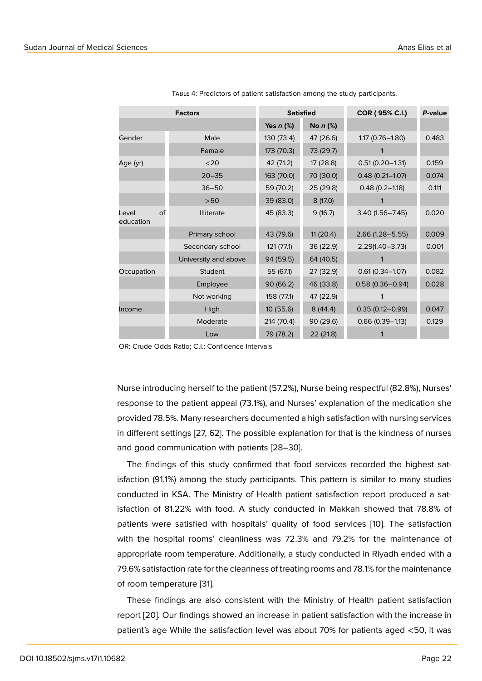| <b>Factors</b>           |                      |             | <b>Satisfied</b> | COR (95% C.I.)      | P-value |
|--------------------------|----------------------|-------------|------------------|---------------------|---------|
|                          |                      | Yes $n$ (%) | No $n$ (%)       |                     |         |
| Gender                   | Male                 | 130 (73.4)  | 47 (26.6)        | $1.17(0.76 - 1.80)$ | 0.483   |
|                          | Female               | 173 (70.3)  | 73 (29.7)        |                     |         |
| Age (yr)                 | $20$                 | 42 (71.2)   | 17 (28.8)        | $0.51(0.20 - 1.31)$ | 0.159   |
|                          | $20 - 35$            | 163 (70.0)  | 70 (30.0)        | $0.48(0.21 - 1.07)$ | 0.074   |
|                          | $36 - 50$            | 59 (70.2)   | 25 (29.8)        | $0.48(0.2 - 1.18)$  | 0.111   |
|                          | >50                  | 39 (83.0)   | 8 (17.0)         |                     |         |
| of<br>Level<br>education | <b>Illiterate</b>    | 45 (83.3)   | 9(16.7)          | $3.40(1.56 - 7.45)$ | 0.020   |
|                          | Primary school       | 43 (79.6)   | 11(20.4)         | $2.66(1.28 - 5.55)$ | 0.009   |
|                          | Secondary school     | 121(77.1)   | 36 (22.9)        | $2.29(1.40 - 3.73)$ | 0.001   |
|                          | University and above | 94 (59.5)   | 64 (40.5)        |                     |         |
| Occupation               | Student              | 55 (67.1)   | 27(32.9)         | $0.61(0.34 - 1.07)$ | 0.082   |
|                          | Employee             | 90 (66.2)   | 46 (33.8)        | $0.58(0.36 - 0.94)$ | 0.028   |
|                          | Not working          | 158 (77.1)  | 47 (22.9)        |                     |         |
| Income                   | High                 | 10(55.6)    | 8(44.4)          | $0.35(0.12 - 0.99)$ | 0.047   |
|                          | Moderate             | 214 (70.4)  | 90 (29.6)        | $0.66$ (0.39-1.13)  | 0.129   |
|                          | Low                  | 79 (78.2)   | 22 (21.8)        |                     |         |

Table 4: Predictors of patient satisfaction among the study participants.

OR: Crude Odds Ratio; C.I.: Confidence Intervals

Nurse introducing herself to the patient (57.2%), Nurse being respectful (82.8%), Nurses' response to the patient appeal (73.1%), and Nurses' explanation of the medication she provided 78.5%. Many researchers documented a high satisfaction with nursing services in different settings [27, 62]. The possible explanation for that is the kindness of nurses and good communication with patients [28–30].

The findings of this study confirmed that food services recorded the highest satisfaction (91.1%) among the study participants. This pattern is similar to many studies conducted in KSA. The Ministry of Health patient satisfaction report produced a satisfaction of 81.22% with food. A study conducted in Makkah showed that 78.8% of patients were satisfied with hospitals' quality of food services [10]. The satisfaction with the hospital rooms' cleanliness was 72.3% and 79.2% for the maintenance of appropriate room temperature. Additionally, a study conducted in Riyadh ended with a 79.6% satisfaction rate for the cleanness of treating rooms and 78.1[% fo](#page-10-1)r the maintenance of room temperature [31].

These findings are also consistent with the Ministry of Health patient satisfaction report [20]. Our findings showed an increase in patient satisfaction with the increase in patient's age While th[e s](#page-12-0)atisfaction level was about 70% for patients aged <50, it was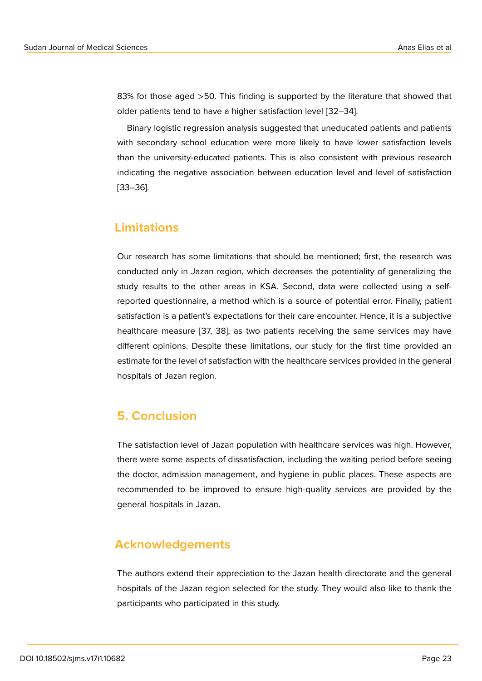83% for those aged >50. This finding is supported by the literature that showed that older patients tend to have a higher satisfaction level [32–34].

Binary logistic regression analysis suggested that uneducated patients and patients with secondary school education were more likely to have lower satisfaction levels than the university-educated patients. This is also consistent with previous research indicating the negative association between education level and level of satisfaction [33–36].

### **Limitations**

Our research has some limitations that should be mentioned; first, the research was conducted only in Jazan region, which decreases the potentiality of generalizing the study results to the other areas in KSA. Second, data were collected using a selfreported questionnaire, a method which is a source of potential error. Finally, patient satisfaction is a patient's expectations for their care encounter. Hence, it is a subjective healthcare measure [37, 38], as two patients receiving the same services may have different opinions. Despite these limitations, our study for the first time provided an estimate for the level of satisfaction with the healthcare services provided in the general hospitals of Jazan region.

### **5. Conclusion**

The satisfaction level of Jazan population with healthcare services was high. However, there were some aspects of dissatisfaction, including the waiting period before seeing the doctor, admission management, and hygiene in public places. These aspects are recommended to be improved to ensure high-quality services are provided by the general hospitals in Jazan.

### **Acknowledgements**

The authors extend their appreciation to the Jazan health directorate and the general hospitals of the Jazan region selected for the study. They would also like to thank the participants who participated in this study.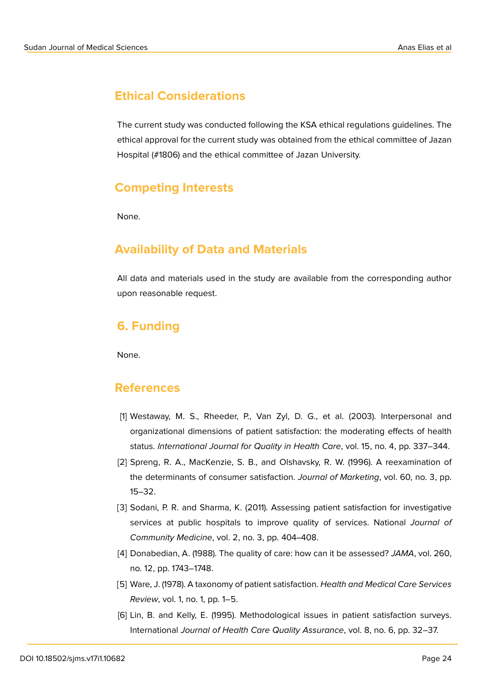# **Ethical Considerations**

The current study was conducted following the KSA ethical regulations guidelines. The ethical approval for the current study was obtained from the ethical committee of Jazan Hospital (#1806) and the ethical committee of Jazan University.

# **Competing Interests**

None.

# **Availability of Data and Materials**

All data and materials used in the study are available from the corresponding author upon reasonable request.

# **6. Funding**

None.

### **References**

- <span id="page-9-5"></span>[1] Westaway, M. S., Rheeder, P., Van Zyl, D. G., et al. (2003). Interpersonal and organizational dimensions of patient satisfaction: the moderating effects of health status. *International Journal for Quality in Health Care*, vol. 15, no. 4, pp. 337–344.
- <span id="page-9-4"></span>[2] Spreng, R. A., MacKenzie, S. B., and Olshavsky, R. W. (1996). A reexamination of the determinants of consumer satisfaction. *Journal of Marketing*, vol. 60, no. 3, pp. 15–32.
- <span id="page-9-3"></span>[3] Sodani, P. R. and Sharma, K. (2011). Assessing patient satisfaction for investigative services at public hospitals to improve quality of services. National *Journal of Community Medicine*, vol. 2, no. 3, pp. 404–408.
- <span id="page-9-0"></span>[4] Donabedian, A. (1988). The quality of care: how can it be assessed? *JAMA*, vol. 260, no. 12, pp. 1743–1748.
- <span id="page-9-2"></span>[5] Ware, J. (1978). A taxonomy of patient satisfaction. *Health and Medical Care Services Review*, vol. 1, no. 1, pp. 1–5.
- <span id="page-9-1"></span>[6] Lin, B. and Kelly, E. (1995). Methodological issues in patient satisfaction surveys. International *Journal of Health Care Quality Assurance*, vol. 8, no. 6, pp. 32–37.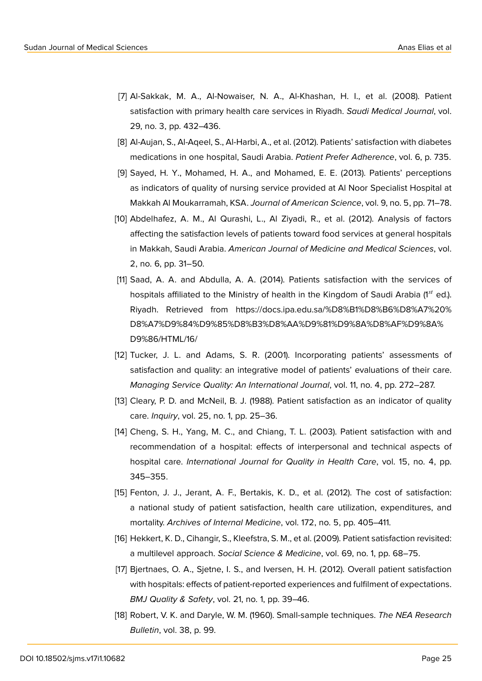- [7] Al-Sakkak, M. A., Al-Nowaiser, N. A., Al-Khashan, H. I., et al. (2008). Patient satisfaction with primary health care services in Riyadh. *Saudi Medical Journal*, vol. 29, no. 3, pp. 432–436.
- [8] Al-Aujan, S., Al-Aqeel, S., Al-Harbi, A., et al. (2012). Patients' satisfaction with diabetes medications in one hospital, Saudi Arabia. *Patient Prefer Adherence*, vol. 6, p. 735.
- [9] Sayed, H. Y., Mohamed, H. A., and Mohamed, E. E. (2013). Patients' perceptions as indicators of quality of nursing service provided at Al Noor Specialist Hospital at Makkah Al Moukarramah, KSA. *Journal of American Science*, vol. 9, no. 5, pp. 71–78.
- <span id="page-10-0"></span>[10] Abdelhafez, A. M., Al Qurashi, L., Al Ziyadi, R., et al. (2012). Analysis of factors affecting the satisfaction levels of patients toward food services at general hospitals in Makkah, Saudi Arabia. *American Journal of Medicine and Medical Sciences*, vol. 2, no. 6, pp. 31–50.
- <span id="page-10-2"></span><span id="page-10-1"></span>[11] Saad, A. A. and Abdulla, A. A. (2014). Patients satisfaction with the services of hospitals affiliated to the Ministry of health in the Kingdom of Saudi Arabia (1st ed.). Riyadh. Retrieved from https://docs.ipa.edu.sa/%D8%B1%D8%B6%D8%A7%20% D8%A7%D9%84%D9%85%D8%B3%D8%AA%D9%81%D9%8A%D8%AF%D9%8A% D9%86/HTML/16/
- [12] Tucker, J. L. and Adams, [S. R. \(2001\). Incorporating patients' assessments of](https://docs.ipa.edu.sa/%D8%B1%D8%B6%D8%A7%20%D8%A7%D9%84%D9%85%D8%B3%D8%AA%D9%81%D9%8A%D8%AF%D9%8A%D9%86/HTML/16/) [satisfaction and quality: an integrative model of patients' evaluations of their car](https://docs.ipa.edu.sa/%D8%B1%D8%B6%D8%A7%20%D8%A7%D9%84%D9%85%D8%B3%D8%AA%D9%81%D9%8A%D8%AF%D9%8A%D9%86/HTML/16/)e. *[Managing Service](https://docs.ipa.edu.sa/%D8%B1%D8%B6%D8%A7%20%D8%A7%D9%84%D9%85%D8%B3%D8%AA%D9%81%D9%8A%D8%AF%D9%8A%D9%86/HTML/16/) Quality: An International Journal*, vol. 11, no. 4, pp. 272–287.
- <span id="page-10-3"></span>[13] Cleary, P. D. and McNeil, B. J. (1988). Patient satisfaction as an indicator of quality care. *Inquiry*, vol. 25, no. 1, pp. 25–36.
- [14] Cheng, S. H., Yang, M. C., and Chiang, T. L. (2003). Patient satisfaction with and recommendation of a hospital: effects of interpersonal and technical aspects of hospital care. *International Journal for Quality in Health Care*, vol. 15, no. 4, pp. 345–355.
- <span id="page-10-4"></span>[15] Fenton, J. J., Jerant, A. F., Bertakis, K. D., et al. (2012). The cost of satisfaction: a national study of patient satisfaction, health care utilization, expenditures, and mortality. *Archives of Internal Medicine*, vol. 172, no. 5, pp. 405–411.
- [16] Hekkert, K. D., Cihangir, S., Kleefstra, S. M., et al. (2009). Patient satisfaction revisited: a multilevel approach. *Social Science & Medicine*, vol. 69, no. 1, pp. 68–75.
- <span id="page-10-5"></span>[17] Bjertnaes, O. A., Sjetne, I. S., and Iversen, H. H. (2012). Overall patient satisfaction with hospitals: effects of patient-reported experiences and fulfilment of expectations. *BMJ Quality & Safety*, vol. 21, no. 1, pp. 39–46.
- <span id="page-10-7"></span><span id="page-10-6"></span>[18] Robert, V. K. and Daryle, W. M. (1960). Small-sample techniques. *The NEA Research Bulletin*, vol. 38, p. 99.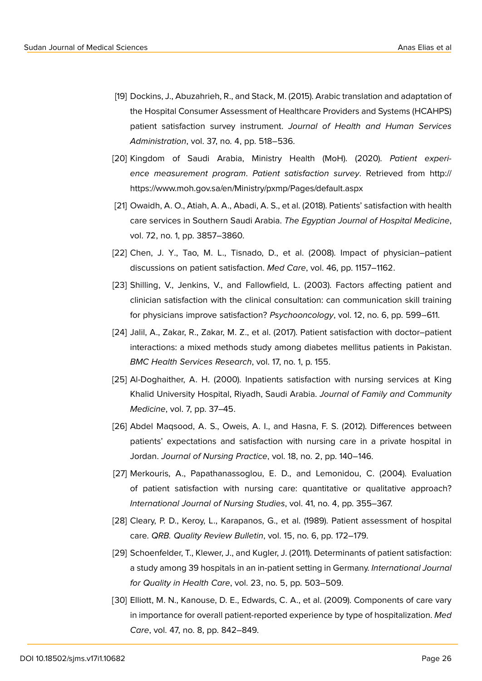- <span id="page-11-0"></span>[19] Dockins, J., Abuzahrieh, R., and Stack, M. (2015). Arabic translation and adaptation of the Hospital Consumer Assessment of Healthcare Providers and Systems (HCAHPS) patient satisfaction survey instrument. *Journal of Health and Human Services Administration*, vol. 37, no. 4, pp. 518–536.
- <span id="page-11-1"></span>[20] Kingdom of Saudi Arabia, Ministry Health (MoH). (2020). *Patient experience measurement program*. *Patient satisfaction survey*. Retrieved from http:// https://www.moh.gov.sa/en/Ministry/pxmp/Pages/default.aspx
- <span id="page-11-2"></span>[21] Owaidh, A. O., Atiah, A. A., Abadi, A. S., et al. (2018). Patients' satisfaction with health care services in Southern Saudi Arabia. *The Egyptian Journal of Hospital Medicine*, vol. 72, no. 1, pp. 3857–3860.
- [22] Chen, J. Y., Tao, M. L., Tisnado, D., et al. (2008). Impact of physician–patient discussions on patient satisfaction. *Med Care*, vol. 46, pp. 1157–1162.
- [23] Shilling, V., Jenkins, V., and Fallowfield, L. (2003). Factors affecting patient and clinician satisfaction with the clinical consultation: can communication skill training for physicians improve satisfaction? *Psychooncology*, vol. 12, no. 6, pp. 599–611.
- [24] Jalil, A., Zakar, R., Zakar, M. Z., et al. (2017). Patient satisfaction with doctor–patient interactions: a mixed methods study among diabetes mellitus patients in Pakistan. *BMC Health Services Research*, vol. 17, no. 1, p. 155.
- [25] Al-Doghaither, A. H. (2000). Inpatients satisfaction with nursing services at King Khalid University Hospital, Riyadh, Saudi Arabia. *Journal of Family and Community Medicine*, vol. 7, pp. 37–45.
- [26] Abdel Maqsood, A. S., Oweis, A. I., and Hasna, F. S. (2012). Differences between patients' expectations and satisfaction with nursing care in a private hospital in Jordan. *Journal of Nursing Practice*, vol. 18, no. 2, pp. 140–146.
- [27] Merkouris, A., Papathanassoglou, E. D., and Lemonidou, C. (2004). Evaluation of patient satisfaction with nursing care: quantitative or qualitative approach? *International Journal of Nursing Studies*, vol. 41, no. 4, pp. 355–367.
- [28] Cleary, P. D., Keroy, L., Karapanos, G., et al. (1989). Patient assessment of hospital care. *QRB. Quality Review Bulletin*, vol. 15, no. 6, pp. 172–179.
- [29] Schoenfelder, T., Klewer, J., and Kugler, J. (2011). Determinants of patient satisfaction: a study among 39 hospitals in an in-patient setting in Germany. *International Journal for Quality in Health Care*, vol. 23, no. 5, pp. 503–509.
- [30] Elliott, M. N., Kanouse, D. E., Edwards, C. A., et al. (2009). Components of care vary in importance for overall patient-reported experience by type of hospitalization. *Med Care*, vol. 47, no. 8, pp. 842–849.